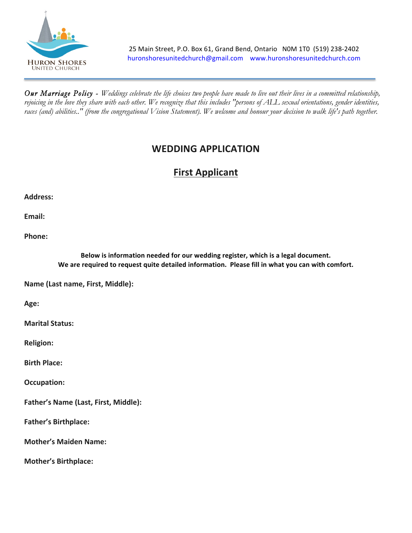

*Our Marriage Policy - Weddings celebrate the life choices two people have made to live out their lives in a committed relationship, rejoicing in the love they share with each other. We recognize that this includes "persons of ALL sexual orientations, gender identities,*  races (and) abilities.." (from the congregational Vision Statement). We welcome and honour your decision to walk life's path together.

## **WEDDING APPLICATION**

## **First Applicant**

Address:

**Email:** 

**Phone:**

Below is information needed for our wedding register, which is a legal document. We are required to request quite detailed information. Please fill in what you can with comfort.

**Name (Last name, First, Middle):** 

**Age:**

**Marital Status:** 

**Religion:**

**Birth Place:** 

**Occupation:** 

**Father's Name (Last, First, Middle):** 

**Father's Birthplace:** 

**Mother's Maiden Name:** 

**Mother's Birthplace:**